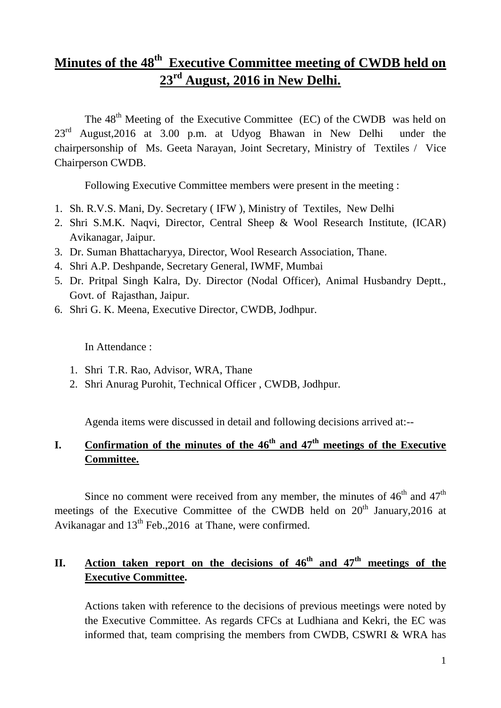# **Minutes of the 48th Executive Committee meeting of CWDB held on 23rd August, 2016 in New Delhi.**

The  $48<sup>th</sup>$  Meeting of the Executive Committee (EC) of the CWDB was held on  $23<sup>rd</sup>$  August, 2016 at 3.00 p.m. at Udyog Bhawan in New Delhi under the chairpersonship of Ms. Geeta Narayan, Joint Secretary, Ministry of Textiles / Vice Chairperson CWDB.

Following Executive Committee members were present in the meeting :

- 1. Sh. R.V.S. Mani, Dy. Secretary ( IFW ), Ministry of Textiles, New Delhi
- 2. Shri S.M.K. Naqvi, Director, Central Sheep & Wool Research Institute, (ICAR) Avikanagar, Jaipur.
- 3. Dr. Suman Bhattacharyya, Director, Wool Research Association, Thane.
- 4. Shri A.P. Deshpande, Secretary General, IWMF, Mumbai
- 5. Dr. Pritpal Singh Kalra, Dy. Director (Nodal Officer), Animal Husbandry Deptt., Govt. of Rajasthan, Jaipur.
- 6. Shri G. K. Meena, Executive Director, CWDB, Jodhpur.

In Attendance :

- 1. Shri T.R. Rao, Advisor, WRA, Thane
- 2. Shri Anurag Purohit, Technical Officer , CWDB, Jodhpur.

Agenda items were discussed in detail and following decisions arrived at:--

## **I.** Confirmation of the minutes of the  $46<sup>th</sup>$  and  $47<sup>th</sup>$  meetings of the Executive **Committee.**

Since no comment were received from any member, the minutes of  $46<sup>th</sup>$  and  $47<sup>th</sup>$ meetings of the Executive Committee of the CWDB held on  $20<sup>th</sup>$  January, 2016 at Avikanagar and  $13<sup>th</sup>$  Feb., 2016 at Thane, were confirmed.

# II. Action taken report on the decisions of  $46^{\text{th}}$  and  $47^{\text{th}}$  meetings of the **Executive Committee.**

Actions taken with reference to the decisions of previous meetings were noted by the Executive Committee. As regards CFCs at Ludhiana and Kekri, the EC was informed that, team comprising the members from CWDB, CSWRI & WRA has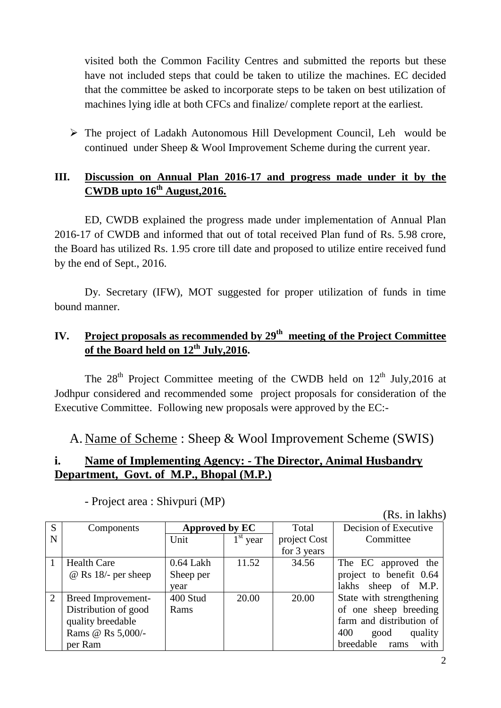visited both the Common Facility Centres and submitted the reports but these have not included steps that could be taken to utilize the machines. EC decided that the committee be asked to incorporate steps to be taken on best utilization of machines lying idle at both CFCs and finalize/ complete report at the earliest.

 The project of Ladakh Autonomous Hill Development Council, Leh would be continued under Sheep & Wool Improvement Scheme during the current year.

### **III. Discussion on Annual Plan 2016-17 and progress made under it by the CWDB upto 16th August,2016.**

ED, CWDB explained the progress made under implementation of Annual Plan 2016-17 of CWDB and informed that out of total received Plan fund of Rs. 5.98 crore, the Board has utilized Rs. 1.95 crore till date and proposed to utilize entire received fund by the end of Sept., 2016.

Dy. Secretary (IFW), MOT suggested for proper utilization of funds in time bound manner.

## **IV. Project proposals as recommended by 29 th meeting of the Project Committee of the Board held on 12th July,2016.**

The  $28<sup>th</sup>$  Project Committee meeting of the CWDB held on  $12<sup>th</sup>$  July, 2016 at Jodhpur considered and recommended some project proposals for consideration of the Executive Committee. Following new proposals were approved by the EC:-

A. Name of Scheme : Sheep & Wool Improvement Scheme (SWIS)

### **i. Name of Implementing Agency: - The Director, Animal Husbandry Department, Govt. of M.P., Bhopal (M.P.)**

|                | (Rs. in lakhs)        |                              |  |              |                          |  |  |  |
|----------------|-----------------------|------------------------------|--|--------------|--------------------------|--|--|--|
| S              | Components            | Approved by EC               |  | Total        | Decision of Executive    |  |  |  |
| N              |                       | $1^{\rm st}$<br>Unit<br>year |  | project Cost | Committee                |  |  |  |
|                |                       |                              |  | for 3 years  |                          |  |  |  |
|                | <b>Health Care</b>    | $0.64$ Lakh<br>11.52         |  | 34.56        | The EC approved the      |  |  |  |
|                | $@$ Rs 18/- per sheep | Sheep per                    |  |              | project to benefit 0.64  |  |  |  |
|                |                       | year                         |  |              | sheep of M.P.<br>lakhs   |  |  |  |
| $\overline{2}$ | Breed Improvement-    | 400 Stud<br>20.00            |  | 20.00        | State with strengthening |  |  |  |
|                | Distribution of good  | Rams                         |  |              | of one sheep breeding    |  |  |  |
|                | quality breedable     |                              |  |              | farm and distribution of |  |  |  |
|                | Rams @ Rs 5,000/-     |                              |  |              | 400<br>quality<br>good   |  |  |  |
|                | per Ram               |                              |  |              | breedable rams<br>with   |  |  |  |

- Project area : Shivpuri (MP)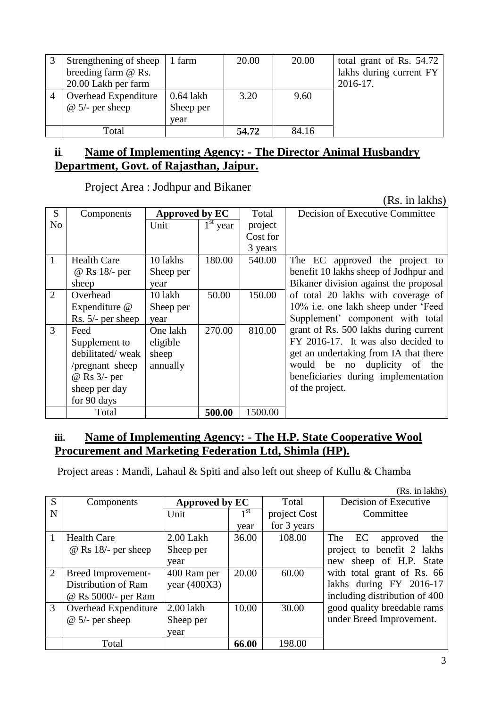| Strengthening of sheep | 1 farm      | 20.00 | 20.00 | total grant of Rs. 54.72 |
|------------------------|-------------|-------|-------|--------------------------|
| breeding farm @ Rs.    |             |       |       | lakhs during current FY  |
| 20.00 Lakh per farm    |             |       |       | 2016-17.                 |
| Overhead Expenditure   | $0.64$ lakh | 3.20  | 9.60  |                          |
| $\omega$ 5/- per sheep | Sheep per   |       |       |                          |
|                        | year        |       |       |                          |
| Total                  |             | 54.72 | 84.16 |                          |

#### **ii. Name of Implementing Agency: - The Director Animal Husbandry Department, Govt. of Rajasthan, Jaipur.**

Project Area : Jodhpur and Bikaner

(Rs. in lakhs)

| S              | Components          | Approved by EC |                                 | Total    | Decision of Executive Committee       |
|----------------|---------------------|----------------|---------------------------------|----------|---------------------------------------|
| N <sub>o</sub> |                     | Unit           | $\overline{1}^{\text{st}}$ year | project  |                                       |
|                |                     |                |                                 | Cost for |                                       |
|                |                     |                |                                 | 3 years  |                                       |
| $\mathbf{1}$   | <b>Health Care</b>  | 10 lakhs       | 180.00                          | 540.00   | The EC approved the project to        |
|                | @ Rs 18/- per       | Sheep per      |                                 |          | benefit 10 lakhs sheep of Jodhpur and |
|                | sheep               | year           |                                 |          | Bikaner division against the proposal |
| $\overline{2}$ | Overhead            | 10 lakh        | 50.00                           | 150.00   | of total 20 lakhs with coverage of    |
|                | Expenditure @       | Sheep per      |                                 |          | 10% i.e. one lakh sheep under 'Feed   |
|                | Rs. $5/-$ per sheep | year           |                                 |          | Supplement' component with total      |
| 3              | Feed                | One lakh       | 270.00                          | 810.00   | grant of Rs. 500 lakhs during current |
|                | Supplement to       | eligible       |                                 |          | FY 2016-17. It was also decided to    |
|                | debilitated/weak    | sheep          |                                 |          | get an undertaking from IA that there |
|                | /pregnant sheep     | annually       |                                 |          | duplicity of the<br>would be no       |
|                | @ Rs 3/- per        |                |                                 |          | beneficiaries during implementation   |
|                | sheep per day       |                |                                 |          | of the project.                       |
|                | for 90 days         |                |                                 |          |                                       |
|                | Total               |                | 500.00                          | 1500.00  |                                       |

### **iii. Name of Implementing Agency: - The H.P. State Cooperative Wool Procurement and Marketing Federation Ltd, Shimla (HP).**

Project areas : Mandi, Lahaul & Spiti and also left out sheep of Kullu & Chamba

(Rs. in lakhs)

|                | (IX5. III IANIIS <i>)</i>  |                |                 |              |                               |  |  |  |  |
|----------------|----------------------------|----------------|-----------------|--------------|-------------------------------|--|--|--|--|
| S              | Components                 | Approved by EC |                 | Total        | Decision of Executive         |  |  |  |  |
| N              |                            | Unit           | 1 <sup>st</sup> | project Cost | Committee                     |  |  |  |  |
|                |                            |                | year            | for 3 years  |                               |  |  |  |  |
|                | <b>Health Care</b>         | 2.00 Lakh      | 36.00           | 108.00       | EC<br>The<br>approved<br>the  |  |  |  |  |
|                | $\omega$ Rs 18/- per sheep | Sheep per      |                 |              | project to benefit 2 lakhs    |  |  |  |  |
|                |                            | year           |                 |              | sheep of H.P. State<br>new    |  |  |  |  |
| $\overline{2}$ | Breed Improvement-         | 400 Ram per    | 20.00           | 60.00        | with total grant of Rs. 66    |  |  |  |  |
|                | Distribution of Ram        | year $(400X3)$ |                 |              | lakhs during FY 2016-17       |  |  |  |  |
|                | @ Rs 5000/- per Ram        |                |                 |              | including distribution of 400 |  |  |  |  |
| 3              | Overhead Expenditure       | 2.00 lakh      | 10.00           | 30.00        | good quality breedable rams   |  |  |  |  |
|                | $@ 5/-$ per sheep          | Sheep per      |                 |              | under Breed Improvement.      |  |  |  |  |
|                |                            | year           |                 |              |                               |  |  |  |  |
|                | Total                      |                | 66.00           | 198.00       |                               |  |  |  |  |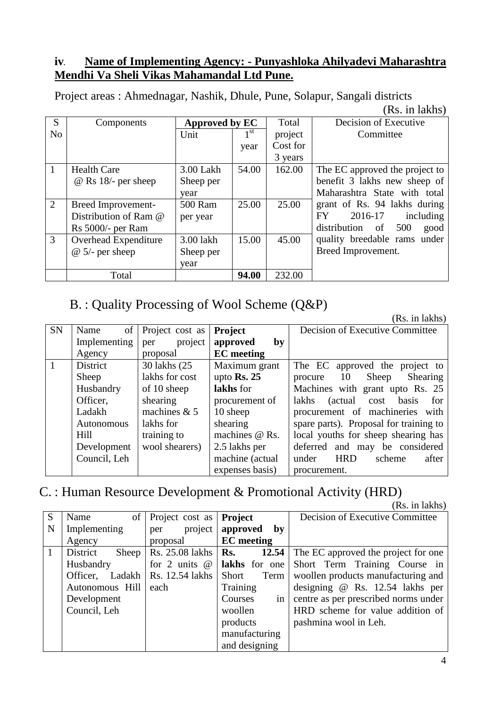### **iv. Name of Implementing Agency: - Punyashloka Ahilyadevi Maharashtra Mendhi Va Sheli Vikas Mahamandal Ltd Pune.**

|                | (10.111100)                |                |              |          |                                   |  |  |  |
|----------------|----------------------------|----------------|--------------|----------|-----------------------------------|--|--|--|
| S              | Components                 | Approved by EC |              | Total    | Decision of Executive             |  |  |  |
| N <sub>o</sub> |                            | Unit           | $1^{\rm st}$ | project  | Committee                         |  |  |  |
|                |                            |                | year         | Cost for |                                   |  |  |  |
|                |                            |                |              | 3 years  |                                   |  |  |  |
|                | <b>Health Care</b>         | 3.00 Lakh      | 54.00        | 162.00   | The EC approved the project to    |  |  |  |
|                | $\omega$ Rs 18/- per sheep | Sheep per      |              |          | benefit 3 lakhs new sheep of      |  |  |  |
|                |                            | year           |              |          | Maharashtra State with total      |  |  |  |
| 2              | Breed Improvement-         | 500 Ram        | 25.00        | 25.00    | grant of Rs. 94 lakhs during      |  |  |  |
|                | Distribution of Ram @      | per year       |              |          | 2016-17<br><b>FY</b><br>including |  |  |  |
|                | $Rs 5000/-$ per Ram        |                |              |          | 500<br>distribution of<br>good    |  |  |  |
| 3              | Overhead Expenditure       | 3.00 lakh      | 15.00        | 45.00    | quality breedable rams under      |  |  |  |
|                | $@ 5/-$ per sheep          | Sheep per      |              |          | Breed Improvement.                |  |  |  |
|                |                            | year           |              |          |                                   |  |  |  |
|                | Total                      |                | 94.00        | 232.00   |                                   |  |  |  |

Project areas : Ahmednagar, Nashik, Dhule, Pune, Solapur, Sangali districts (Rs. in lakhs)

# B. : Quality Processing of Wool Scheme (Q&P)

|           |              |                 |                        | (Rs. in lakhs)                         |
|-----------|--------------|-----------------|------------------------|----------------------------------------|
| <b>SN</b> | of<br>Name   | Project cost as | Project                | Decision of Executive Committee        |
|           | Implementing | project<br>per  | approved<br>by         |                                        |
|           | Agency       | proposal        | <b>EC</b> meeting      |                                        |
|           | District     | 30 lakhs (25    | Maximum grant          | The EC approved the project to         |
|           | Sheep        | lakhs for cost  | upto $\mathbf{Rs.}$ 25 | procure 10 Sheep<br>Shearing           |
|           | Husbandry    | of 10 sheep     | lakhs for              | Machines with grant upto Rs. 25        |
|           | Officer.     | shearing        | procurement of         | cost basis<br>lakhs<br>(actual)<br>for |
|           | Ladakh       | machines $& 5$  | 10 sheep               | procurement of machineries with        |
|           | Autonomous   | lakhs for       | shearing               | spare parts). Proposal for training to |
|           | Hill         | training to     | machines @ Rs.         | local youths for sheep shearing has    |
|           | Development  | wool shearers)  | 2.5 lakhs per          | deferred and may be considered         |
|           | Council, Leh |                 | machine (actual        | under<br><b>HRD</b><br>scheme<br>after |
|           |              |                 | expenses basis)        | procurement.                           |

# C. : Human Resource Development & Promotional Activity (HRD)

 $(Rs$  in lakhs)

|   |                    |                    |                   | ANS. III IUNIIS                      |
|---|--------------------|--------------------|-------------------|--------------------------------------|
| S | Name               | of Project cost as | <b>Project</b>    | Decision of Executive Committee      |
| N | Implementing       | project<br>per     | approved<br>by    |                                      |
|   | Agency             | proposal           | <b>EC</b> meeting |                                      |
|   | District<br>Sheep  | Rs. 25.08 lakhs    | 12.54<br>Rs.      | The EC approved the project for one  |
|   | Husbandry          | for 2 units $@$    | lakhs for one     | Short Term Training Course in        |
|   | Ladakh<br>Officer. | Rs. 12.54 lakhs    | Short<br>Term     | woollen products manufacturing and   |
|   | Autonomous Hill    | each               | Training          | designing $@$ Rs. 12.54 lakhs per    |
|   | Development        |                    | Courses<br>in     | centre as per prescribed norms under |
|   | Council, Leh       |                    | woollen           | HRD scheme for value addition of     |
|   |                    |                    | products          | pashmina wool in Leh.                |
|   |                    |                    | manufacturing     |                                      |
|   |                    |                    | and designing     |                                      |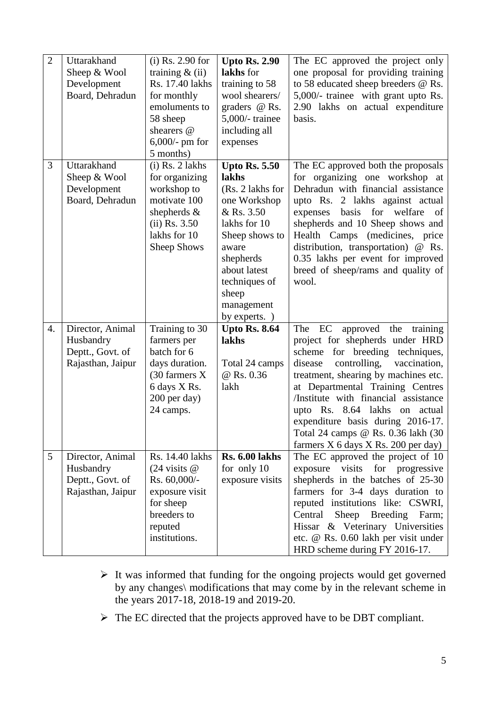| $\overline{2}$  | Uttarakhand<br>Sheep & Wool<br>Development<br>Board, Dehradun          | $(i)$ Rs. 2.90 for<br>training $&$ (ii)<br>Rs. 17.40 lakhs<br>for monthly<br>emoluments to<br>58 sheep<br>shearers @<br>$6,000$ /- pm for<br>5 months) | <b>Upto Rs. 2.90</b><br>lakhs for<br>training to 58<br>wool shearers/<br>graders $@$ Rs.<br>$5,000$ /-trainee<br>including all<br>expenses                                                                       | The EC approved the project only<br>one proposal for providing training<br>to 58 educated sheep breeders @ Rs.<br>5,000/- trainee with grant upto Rs.<br>2.90 lakhs on actual expenditure<br>basis.                                                                                                                                                                                                                           |
|-----------------|------------------------------------------------------------------------|--------------------------------------------------------------------------------------------------------------------------------------------------------|------------------------------------------------------------------------------------------------------------------------------------------------------------------------------------------------------------------|-------------------------------------------------------------------------------------------------------------------------------------------------------------------------------------------------------------------------------------------------------------------------------------------------------------------------------------------------------------------------------------------------------------------------------|
| 3               | Uttarakhand<br>Sheep & Wool<br>Development<br>Board, Dehradun          | $(i)$ Rs. 2 lakhs<br>for organizing<br>workshop to<br>motivate 100<br>shepherds $\&$<br>$(ii)$ Rs. 3.50<br>lakhs for 10<br>Sheep Shows                 | <b>Upto Rs. 5.50</b><br>lakhs<br>(Rs. 2 lakhs for<br>one Workshop<br>& Rs. 3.50<br>lakhs for 10<br>Sheep shows to<br>aware<br>shepherds<br>about latest<br>techniques of<br>sheep<br>management<br>by experts. ) | The EC approved both the proposals<br>for organizing one workshop at<br>Dehradun with financial assistance<br>upto Rs. 2 lakhs against actual<br>basis for welfare<br>expenses<br>of<br>shepherds and 10 Sheep shows and<br>Health Camps<br>(medicines, price<br>distribution, transportation) @ Rs.<br>0.35 lakhs per event for improved<br>breed of sheep/rams and quality of<br>wool.                                      |
| 4.              | Director, Animal<br>Husbandry<br>Deptt., Govt. of<br>Rajasthan, Jaipur | Training to 30<br>farmers per<br>batch for 6<br>days duration.<br>(30 farmers X<br>6 days X Rs.<br>200 per day)<br>24 camps.                           | <b>Upto Rs. 8.64</b><br>lakhs<br>Total 24 camps<br>@ Rs. 0.36<br>lakh                                                                                                                                            | The EC<br>approved the<br>training<br>project for shepherds under HRD<br>for breeding techniques,<br>scheme<br>controlling,<br>vaccination,<br>disease<br>treatment, shearing by machines etc.<br>at Departmental Training Centres<br>/Institute with financial assistance<br>upto Rs. 8.64 lakhs on actual<br>expenditure basis during 2016-17.<br>Total 24 camps @ Rs. 0.36 lakh (30<br>farmers X 6 days X Rs. 200 per day) |
| $5\overline{)}$ | Director, Animal<br>Husbandry<br>Deptt., Govt. of<br>Rajasthan, Jaipur | Rs. 14.40 lakhs<br>$(24 \text{ visits } @$<br>Rs. 60,000/-<br>exposure visit<br>for sheep<br>breeders to<br>reputed<br>institutions.                   | <b>Rs. 6.00 lakhs</b><br>for only 10<br>exposure visits                                                                                                                                                          | The EC approved the project of 10<br>exposure visits for progressive<br>shepherds in the batches of 25-30<br>farmers for 3-4 days duration to<br>reputed institutions like: CSWRI,<br>Central<br>Sheep Breeding Farm;<br>Hissar & Veterinary Universities<br>etc. @ Rs. 0.60 lakh per visit under<br>HRD scheme during FY 2016-17.                                                                                            |

- $\triangleright$  It was informed that funding for the ongoing projects would get governed by any changes\ modifications that may come by in the relevant scheme in the years 2017-18, 2018-19 and 2019-20.
- > The EC directed that the projects approved have to be DBT compliant.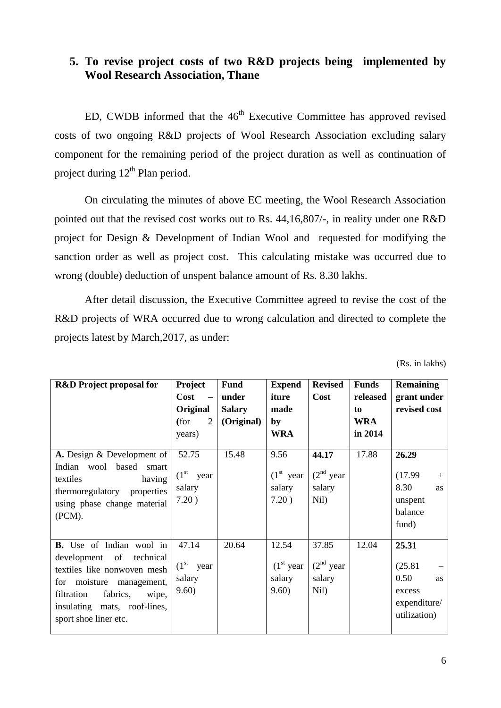### **5. To revise project costs of two R&D projects being implemented by Wool Research Association, Thane**

ED, CWDB informed that the  $46<sup>th</sup>$  Executive Committee has approved revised costs of two ongoing R&D projects of Wool Research Association excluding salary component for the remaining period of the project duration as well as continuation of project during  $12^{th}$  Plan period.

On circulating the minutes of above EC meeting, the Wool Research Association pointed out that the revised cost works out to Rs. 44,16,807/-, in reality under one R&D project for Design & Development of Indian Wool and requested for modifying the sanction order as well as project cost. This calculating mistake was occurred due to wrong (double) deduction of unspent balance amount of Rs. 8.30 lakhs.

After detail discussion, the Executive Committee agreed to revise the cost of the R&D projects of WRA occurred due to wrong calculation and directed to complete the projects latest by March,2017, as under:

| <b>R&amp;D</b> Project proposal for                                                                                                                                                                                         | <b>Project</b>                                    | <b>Fund</b>   | <b>Expend</b>                           | <b>Revised</b>                            | <b>Funds</b> | Remaining                                                                |
|-----------------------------------------------------------------------------------------------------------------------------------------------------------------------------------------------------------------------------|---------------------------------------------------|---------------|-----------------------------------------|-------------------------------------------|--------------|--------------------------------------------------------------------------|
|                                                                                                                                                                                                                             | Cost<br>$\overline{\phantom{m}}$                  | under         | iture                                   | Cost                                      | released     | grant under                                                              |
|                                                                                                                                                                                                                             | Original                                          | <b>Salary</b> | made                                    |                                           | to           | revised cost                                                             |
|                                                                                                                                                                                                                             | (for<br>$\overline{2}$                            | (Original)    | by                                      |                                           | <b>WRA</b>   |                                                                          |
|                                                                                                                                                                                                                             | years)                                            |               | WRA                                     |                                           | in 2014      |                                                                          |
| A. Design & Development of                                                                                                                                                                                                  | 52.75                                             | 15.48         | 9.56                                    | 44.17                                     | 17.88        | 26.29                                                                    |
| wool based<br>Indian<br>smart<br>having<br>textiles<br>thermoregulatory<br>properties<br>using phase change material<br>(PCM).                                                                                              | $(1st$ year<br>salary<br>7.20)                    |               | $(1st$ year<br>salary<br>7.20)          | $(2nd$ year<br>salary<br>Nil)             |              | (17.99)<br>$\pm$<br>8.30<br>as<br>unspent<br>balance<br>fund)            |
| <b>B.</b> Use of Indian wool in<br>of<br>development<br>technical<br>textiles like nonwoven mesh<br>for moisture<br>management,<br>filtration<br>fabrics,<br>wipe,<br>insulating mats, roof-lines,<br>sport shoe liner etc. | 47.14<br>$(1^{\rm st}$<br>year<br>salary<br>9.60) | 20.64         | 12.54<br>$(1st$ year<br>salary<br>9.60) | 37.85<br>$(2^{nd}$ year<br>salary<br>Nil) | 12.04        | 25.31<br>(25.81)<br>0.50<br>as<br>excess<br>expenditure/<br>utilization) |

(Rs. in lakhs)